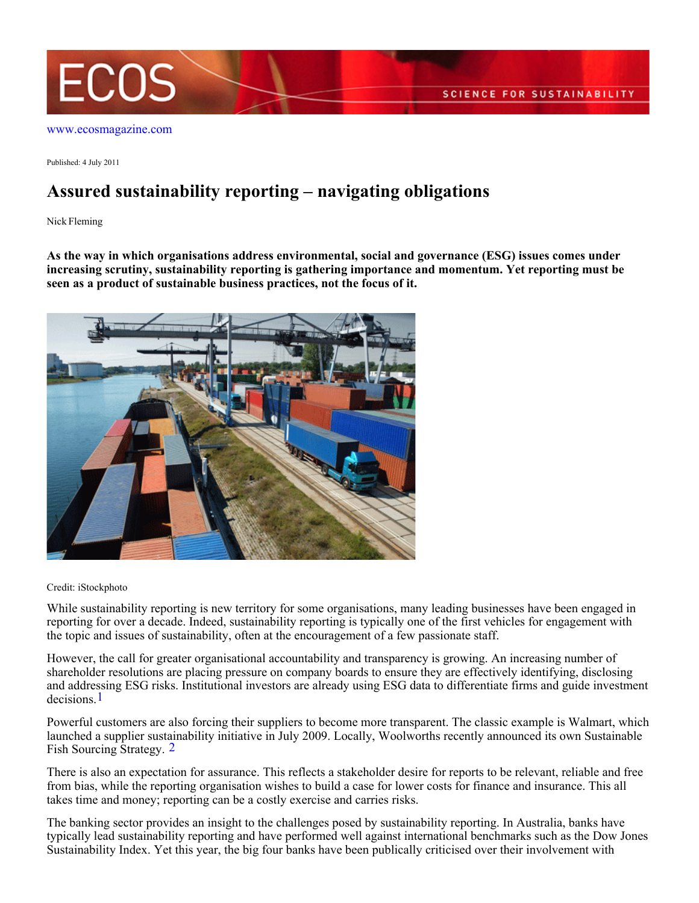

[www.ecosmagazine.com](http://www.ecosmagazine.com)

Published: 4 July 2011

## **Assured sustainability reporting – navigating obligations**

Nick Fleming

**As the way in which organisations address environmental, social and governance (ESG) issues comes under increasing scrutiny, sustainability reporting is gathering importance and momentum. Yet reporting must be seen as a product of sustainable business practices, not the focus of it.**



## Credit: iStockphoto

While sustainability reporting is new territory for some organisations, many leading businesses have been engaged in reporting for over a decade. Indeed, sustainability reporting is typically one of the first vehicles for engagement with the topic and issues of sustainability, often at the encouragement of a few passionate staff.

However, the call for greater organisational accountability and transparency is growing. An increasing number of shareholder resolutions are placing pressure on company boards to ensure they are effectively identifying, disclosing and addressing ESG risks. Institutional investors are already using ESG data to differentiate firms and guide investment decisions.1

Powerful customers are also forcing their suppliers to become more transparent. The classic example is Walmart, which launched a supplier sustainability initiative in July 2009. Locally, Woolworths recently announced its own Sustainable Fish Sourcing Strategy. 2

There is also an expectation for assurance. This reflects a stakeholder desire for reports to be relevant, reliable and free from bias, while the reporting organisation wishes to build a case for lower costs for finance and insurance. This all takes time and money; reporting can be a costly exercise and carries risks.

The banking sector provides an insight to the challenges posed by sustainability reporting. In Australia, banks have typically lead sustainability reporting and have performed well against international benchmarks such as the Dow Jones Sustainability Index. Yet this year, the big four banks have been publically criticised over their involvement with